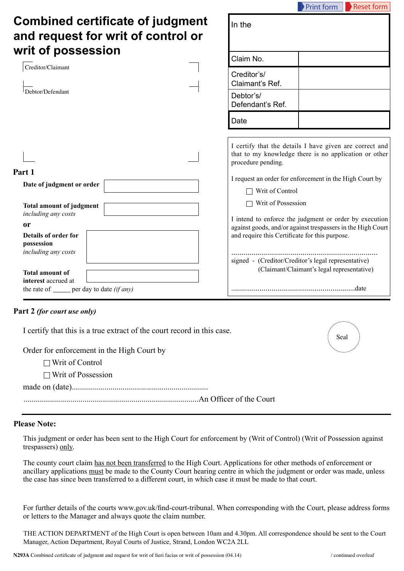|                                                                                               | <b>Reset form</b><br>Print form                                                                                                                                                                                                                                                                      |  |
|-----------------------------------------------------------------------------------------------|------------------------------------------------------------------------------------------------------------------------------------------------------------------------------------------------------------------------------------------------------------------------------------------------------|--|
| <b>Combined certificate of judgment</b><br>and request for writ of control or                 | In the                                                                                                                                                                                                                                                                                               |  |
| writ of possession                                                                            | Claim No.                                                                                                                                                                                                                                                                                            |  |
| Creditor/Claimant<br>Debtor/Defendant                                                         | Creditor's/<br>Claimant's Ref.                                                                                                                                                                                                                                                                       |  |
|                                                                                               | Debtor's/<br>Defendant's Ref.                                                                                                                                                                                                                                                                        |  |
|                                                                                               | Date                                                                                                                                                                                                                                                                                                 |  |
| Part 1<br>Date of judgment or order<br><b>Total amount of judgment</b><br>including any costs | I certify that the details I have given are correct and<br>that to my knowledge there is no application or other<br>procedure pending.<br>I request an order for enforcement in the High Court by<br>Writ of Control<br>Writ of Possession<br>I intend to enforce the judgment or order by execution |  |
| or<br>Details of order for<br>possession<br>including any costs                               | against goods, and/or against trespassers in the High Court<br>and require this Certificate for this purpose.<br>signed - (Creditor/Creditor's legal representative)<br>(Claimant/Claimant's legal representative)                                                                                   |  |
| <b>Total amount of</b>                                                                        |                                                                                                                                                                                                                                                                                                      |  |

## **Part 2** *(for court use only)*

**Total amount of interest** accrued at

I certify that this is a true extract of the court record in this case.

Order for enforcement in the High Court by

Writ of Control

Writ of Possession

the rate of per day to date *(if any)*

made on (date)...................................................................

......................................................................................An Officer of the Court

## **Please Note:**

This judgment or order has been sent to the High Court for enforcement by (Writ of Control) (Writ of Possession against trespassers) only.

The county court claim has not been transferred to the High Court. Applications for other methods of enforcement or ancillary applications must be made to the County Court hearing centre in which the judgment or order was made, unless the case has since been transferred to a different court, in which case it must be made to that court.

For further details of the courts www.gov.uk/find-court-tribunal. When corresponding with the Court, please address forms or letters to the Manager and always quote the claim number.

THE ACTION DEPARTMENT of the High Court is open between 10am and 4.30pm. All correspondence should be sent to the Court Manager, Action Department, Royal Courts of Justice, Strand, London WC2A 2LL

Seal

.............................................................date